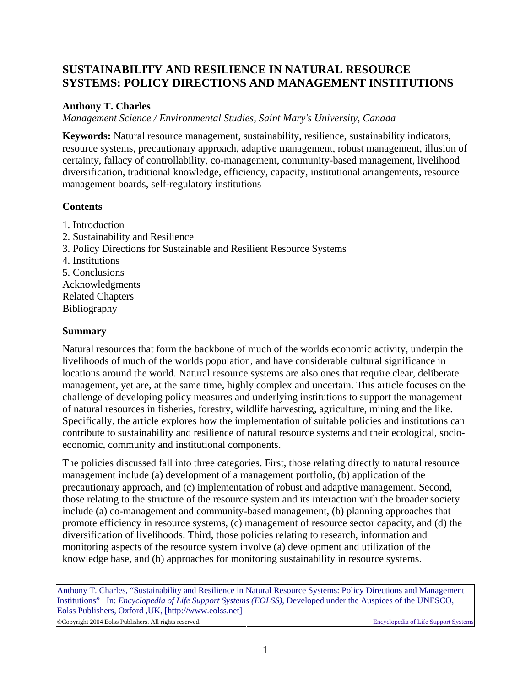# <span id="page-0-0"></span>**SUSTAINABILITY AND RESILIENCE IN NATURAL RESOURCE SYSTEMS: POLICY DIRECTIONS AND MANAGEMENT INSTITUTIONS**

# **Anthony T. Charles**

*Management Science / Environmental Studies, Saint Mary's University, Canada* 

**Keywords:** Natural resource management, sustainability, resilience, sustainability indicators, resource systems, precautionary approach, adaptive management, robust management, illusion of certainty, fallacy of controllability, co-management, community-based management, livelihood diversification, traditional knowledge, efficiency, capacity, institutional arrangements, resource management boards, self-regulatory institutions

# **Contents**

[1. Introduction](#page-1-0) [2. Sustainability and Resilience](#page-1-0) [3. Policy Directions for Sustainable and Resilient Resource Systems](#page-0-0) [4. Institutions](#page-10-0) [5. Conclusions](#page-14-0) [Acknowledgments](#page-15-0) [Related Chapters](#page-0-0) [Bibliography](#page-15-0)

## **Summary**

Natural resources that form the backbone of much of the worlds economic activity, underpin the livelihoods of much of the worlds population, and have considerable cultural significance in locations around the world. Natural resource systems are also ones that require clear, deliberate management, yet are, at the same time, highly complex and uncertain. This article focuses on the challenge of developing policy measures and underlying institutions to support the management of natural resources in fisheries, forestry, wildlife harvesting, agriculture, mining and the like. Specifically, the article explores how the implementation of suitable policies and institutions can contribute to sustainability and resilience of natural resource systems and their ecological, socioeconomic, community and institutional components.

The policies discussed fall into three categories. First, those relating directly to natural resource management include (a) development of a management portfolio, (b) application of the precautionary approach, and (c) implementation of robust and adaptive management. Second, those relating to the structure of the resource system and its interaction with the broader society include (a) co-management and community-based management, (b) planning approaches that promote efficiency in resource systems, (c) management of resource sector capacity, and (d) the diversification of livelihoods. Third, those policies relating to research, information and monitoring aspects of the resource system involve (a) development and utilization of the knowledge base, and (b) approaches for monitoring sustainability in resource systems.

Anthony T. Charles, "Sustainability and Resilience in Natural Resource Systems: Policy Directions and Management Institutions" In: *Encyclopedia of Life Support Systems (EOLSS),* Developed under the Auspices of the UNESCO, Eolss Publishers, Oxford ,UK, [http://www.eolss.net]

©Copyright 2004 Eolss Publishers. All rights reserved. Encyclopedia of Life Support Systems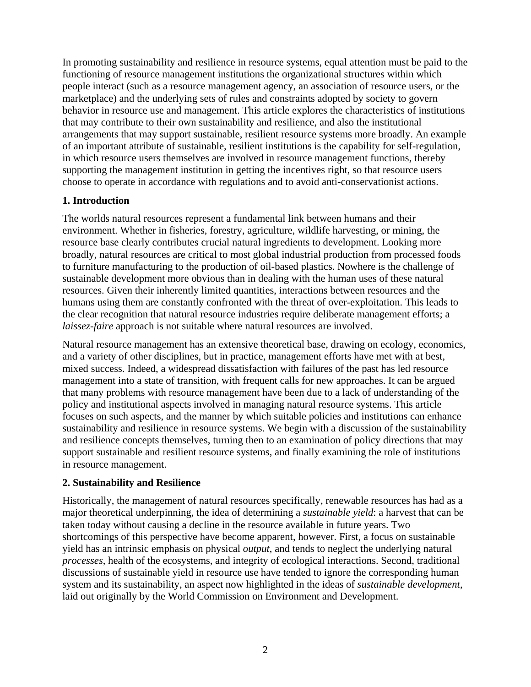<span id="page-1-0"></span>In promoting sustainability and resilience in resource systems, equal attention must be paid to the functioning of resource management institutions the organizational structures within which people interact (such as a resource management agency, an association of resource users, or the marketplace) and the underlying sets of rules and constraints adopted by society to govern behavior in resource use and management. This article explores the characteristics of institutions that may contribute to their own sustainability and resilience, and also the institutional arrangements that may support sustainable, resilient resource systems more broadly. An example of an important attribute of sustainable, resilient institutions is the capability for self-regulation, in which resource users themselves are involved in resource management functions, thereby supporting the management institution in getting the incentives right, so that resource users choose to operate in accordance with regulations and to avoid anti-conservationist actions.

# **1. Introduction**

The worlds natural resources represent a fundamental link between humans and their environment. Whether in fisheries, forestry, agriculture, wildlife harvesting, or mining, the resource base clearly contributes crucial natural ingredients to development. Looking more broadly, natural resources are critical to most global industrial production from processed foods to furniture manufacturing to the production of oil-based plastics. Nowhere is the challenge of sustainable development more obvious than in dealing with the human uses of these natural resources. Given their inherently limited quantities, interactions between resources and the humans using them are constantly confronted with the threat of over-exploitation. This leads to the clear recognition that natural resource industries require deliberate management efforts; a *laissez-faire* approach is not suitable where natural resources are involved.

Natural resource management has an extensive theoretical base, drawing on ecology, economics, and a variety of other disciplines, but in practice, management efforts have met with at best, mixed success. Indeed, a widespread dissatisfaction with failures of the past has led resource management into a state of transition, with frequent calls for new approaches. It can be argued that many problems with resource management have been due to a lack of understanding of the policy and institutional aspects involved in managing natural resource systems. This article focuses on such aspects, and the manner by which suitable policies and institutions can enhance sustainability and resilience in resource systems. We begin with a discussion of the sustainability and resilience concepts themselves, turning then to an examination of policy directions that may support sustainable and resilient resource systems, and finally examining the role of institutions in resource management.

## **2. Sustainability and Resilience**

Historically, the management of natural resources specifically, renewable resources has had as a major theoretical underpinning, the idea of determining a *sustainable yield*: a harvest that can be taken today without causing a decline in the resource available in future years. Two shortcomings of this perspective have become apparent, however. First, a focus on sustainable yield has an intrinsic emphasis on physical *output*, and tends to neglect the underlying natural *processes*, health of the ecosystems, and integrity of ecological interactions. Second, traditional discussions of sustainable yield in resource use have tended to ignore the corresponding human system and its sustainability, an aspect now highlighted in the ideas of *sustainable development*, laid out originally by the World Commission on Environment and Development.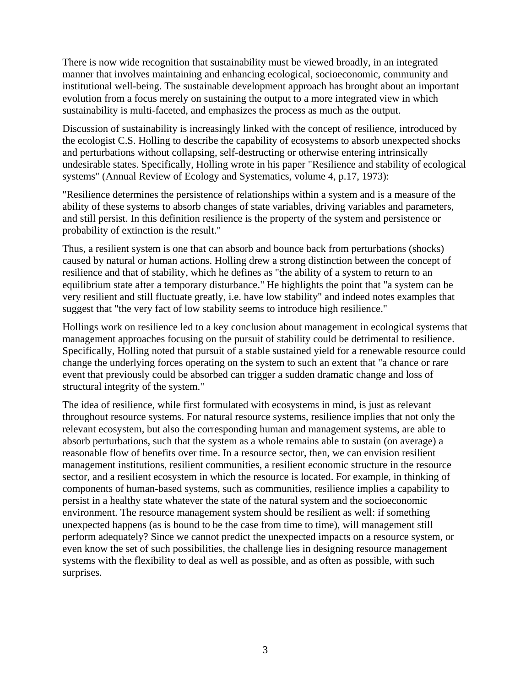There is now wide recognition that sustainability must be viewed broadly, in an integrated manner that involves maintaining and enhancing ecological, socioeconomic, community and institutional well-being. The sustainable development approach has brought about an important evolution from a focus merely on sustaining the output to a more integrated view in which sustainability is multi-faceted, and emphasizes the process as much as the output.

Discussion of sustainability is increasingly linked with the concept of resilience, introduced by the ecologist C.S. Holling to describe the capability of ecosystems to absorb unexpected shocks and perturbations without collapsing, self-destructing or otherwise entering intrinsically undesirable states. Specifically, Holling wrote in his paper "Resilience and stability of ecological systems" (Annual Review of Ecology and Systematics, volume 4, p.17, 1973):

"Resilience determines the persistence of relationships within a system and is a measure of the ability of these systems to absorb changes of state variables, driving variables and parameters, and still persist. In this definition resilience is the property of the system and persistence or probability of extinction is the result."

Thus, a resilient system is one that can absorb and bounce back from perturbations (shocks) caused by natural or human actions. Holling drew a strong distinction between the concept of resilience and that of stability, which he defines as "the ability of a system to return to an equilibrium state after a temporary disturbance." He highlights the point that "a system can be very resilient and still fluctuate greatly, i.e. have low stability" and indeed notes examples that suggest that "the very fact of low stability seems to introduce high resilience."

Hollings work on resilience led to a key conclusion about management in ecological systems that management approaches focusing on the pursuit of stability could be detrimental to resilience. Specifically, Holling noted that pursuit of a stable sustained yield for a renewable resource could change the underlying forces operating on the system to such an extent that "a chance or rare event that previously could be absorbed can trigger a sudden dramatic change and loss of structural integrity of the system."

The idea of resilience, while first formulated with ecosystems in mind, is just as relevant throughout resource systems. For natural resource systems, resilience implies that not only the relevant ecosystem, but also the corresponding human and management systems, are able to absorb perturbations, such that the system as a whole remains able to sustain (on average) a reasonable flow of benefits over time. In a resource sector, then, we can envision resilient management institutions, resilient communities, a resilient economic structure in the resource sector, and a resilient ecosystem in which the resource is located. For example, in thinking of components of human-based systems, such as communities, resilience implies a capability to persist in a healthy state whatever the state of the natural system and the socioeconomic environment. The resource management system should be resilient as well: if something unexpected happens (as is bound to be the case from time to time), will management still perform adequately? Since we cannot predict the unexpected impacts on a resource system, or even know the set of such possibilities, the challenge lies in designing resource management systems with the flexibility to deal as well as possible, and as often as possible, with such surprises.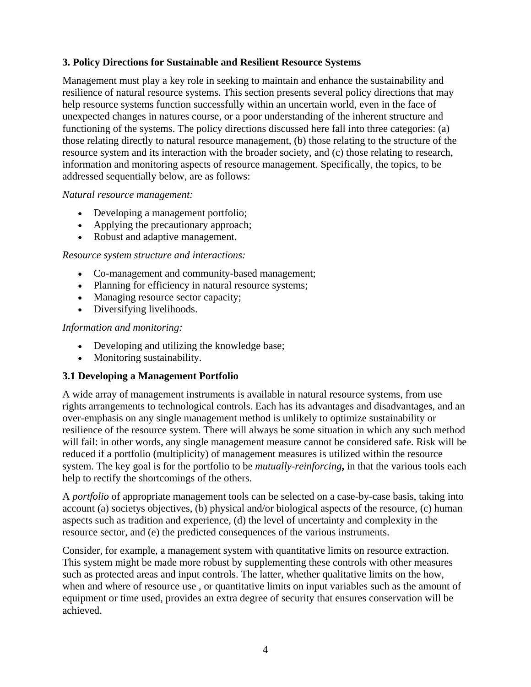## **3. Policy Directions for Sustainable and Resilient Resource Systems**

Management must play a key role in seeking to maintain and enhance the sustainability and resilience of natural resource systems. This section presents several policy directions that may help resource systems function successfully within an uncertain world, even in the face of unexpected changes in natures course, or a poor understanding of the inherent structure and functioning of the systems. The policy directions discussed here fall into three categories: (a) those relating directly to natural resource management, (b) those relating to the structure of the resource system and its interaction with the broader society, and (c) those relating to research, information and monitoring aspects of resource management. Specifically, the topics, to be addressed sequentially below, are as follows:

#### *Natural resource management:*

- Developing a management portfolio;
- Applying the precautionary approach;
- Robust and adaptive management.

#### *Resource system structure and interactions:*

- Co-management and community-based management;
- Planning for efficiency in natural resource systems;
- Managing resource sector capacity;
- Diversifying livelihoods.

#### *Information and monitoring:*

- Developing and utilizing the knowledge base;
- Monitoring sustainability.

## **3.1 Developing a Management Portfolio**

A wide array of management instruments is available in natural resource systems, from use rights arrangements to technological controls. Each has its advantages and disadvantages, and an over-emphasis on any single management method is unlikely to optimize sustainability or resilience of the resource system. There will always be some situation in which any such method will fail: in other words, any single management measure cannot be considered safe. Risk will be reduced if a portfolio (multiplicity) of management measures is utilized within the resource system. The key goal is for the portfolio to be *mutually-reinforcing***,** in that the various tools each help to rectify the shortcomings of the others.

A *portfolio* of appropriate management tools can be selected on a case-by-case basis, taking into account (a) societys objectives, (b) physical and/or biological aspects of the resource, (c) human aspects such as tradition and experience, (d) the level of uncertainty and complexity in the resource sector, and (e) the predicted consequences of the various instruments.

Consider, for example, a management system with quantitative limits on resource extraction. This system might be made more robust by supplementing these controls with other measures such as protected areas and input controls. The latter, whether qualitative limits on the how, when and where of resource use , or quantitative limits on input variables such as the amount of equipment or time used, provides an extra degree of security that ensures conservation will be achieved.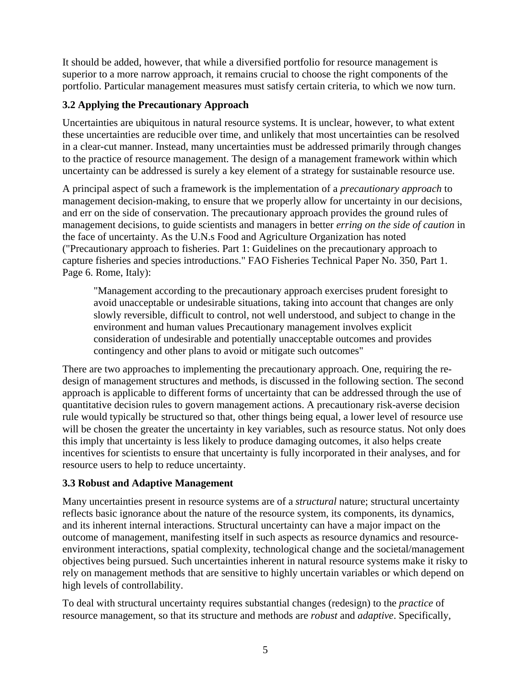It should be added, however, that while a diversified portfolio for resource management is superior to a more narrow approach, it remains crucial to choose the right components of the portfolio. Particular management measures must satisfy certain criteria, to which we now turn.

# **3.2 Applying the Precautionary Approach**

Uncertainties are ubiquitous in natural resource systems. It is unclear, however, to what extent these uncertainties are reducible over time, and unlikely that most uncertainties can be resolved in a clear-cut manner. Instead, many uncertainties must be addressed primarily through changes to the practice of resource management. The design of a management framework within which uncertainty can be addressed is surely a key element of a strategy for sustainable resource use.

A principal aspect of such a framework is the implementation of a *precautionary approach* to management decision-making, to ensure that we properly allow for uncertainty in our decisions, and err on the side of conservation. The precautionary approach provides the ground rules of management decisions, to guide scientists and managers in better *erring on the side of caution* in the face of uncertainty. As the U.N.s Food and Agriculture Organization has noted ("Precautionary approach to fisheries. Part 1: Guidelines on the precautionary approach to capture fisheries and species introductions." FAO Fisheries Technical Paper No. 350, Part 1. Page 6. Rome, Italy):

"Management according to the precautionary approach exercises prudent foresight to avoid unacceptable or undesirable situations, taking into account that changes are only slowly reversible, difficult to control, not well understood, and subject to change in the environment and human values Precautionary management involves explicit consideration of undesirable and potentially unacceptable outcomes and provides contingency and other plans to avoid or mitigate such outcomes"

There are two approaches to implementing the precautionary approach. One, requiring the redesign of management structures and methods, is discussed in the following section. The second approach is applicable to different forms of uncertainty that can be addressed through the use of quantitative decision rules to govern management actions. A precautionary risk-averse decision rule would typically be structured so that, other things being equal, a lower level of resource use will be chosen the greater the uncertainty in key variables, such as resource status. Not only does this imply that uncertainty is less likely to produce damaging outcomes, it also helps create incentives for scientists to ensure that uncertainty is fully incorporated in their analyses, and for resource users to help to reduce uncertainty.

# **3.3 Robust and Adaptive Management**

Many uncertainties present in resource systems are of a *structural* nature; structural uncertainty reflects basic ignorance about the nature of the resource system, its components, its dynamics, and its inherent internal interactions. Structural uncertainty can have a major impact on the outcome of management, manifesting itself in such aspects as resource dynamics and resourceenvironment interactions, spatial complexity, technological change and the societal/management objectives being pursued. Such uncertainties inherent in natural resource systems make it risky to rely on management methods that are sensitive to highly uncertain variables or which depend on high levels of controllability.

To deal with structural uncertainty requires substantial changes (redesign) to the *practice* of resource management, so that its structure and methods are *robust* and *adaptive*. Specifically,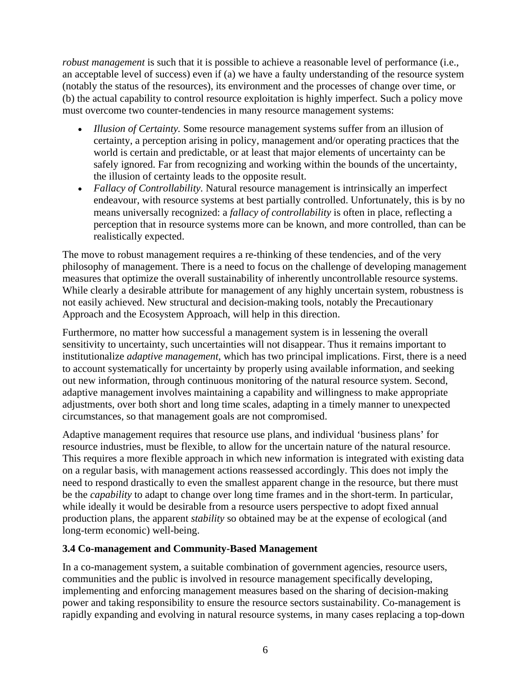*robust management* is such that it is possible to achieve a reasonable level of performance (i.e., an acceptable level of success) even if (a) we have a faulty understanding of the resource system (notably the status of the resources), its environment and the processes of change over time, or (b) the actual capability to control resource exploitation is highly imperfect. Such a policy move must overcome two counter-tendencies in many resource management systems:

- *Illusion of Certainty.* Some resource management systems suffer from an illusion of certainty, a perception arising in policy, management and/or operating practices that the world is certain and predictable, or at least that major elements of uncertainty can be safely ignored. Far from recognizing and working within the bounds of the uncertainty, the illusion of certainty leads to the opposite result.
- *Fallacy of Controllability.* Natural resource management is intrinsically an imperfect endeavour, with resource systems at best partially controlled. Unfortunately, this is by no means universally recognized: a *fallacy of controllability* is often in place, reflecting a perception that in resource systems more can be known, and more controlled, than can be realistically expected.

The move to robust management requires a re-thinking of these tendencies, and of the very philosophy of management. There is a need to focus on the challenge of developing management measures that optimize the overall sustainability of inherently uncontrollable resource systems. While clearly a desirable attribute for management of any highly uncertain system, robustness is not easily achieved. New structural and decision-making tools, notably the Precautionary Approach and the Ecosystem Approach, will help in this direction.

Furthermore, no matter how successful a management system is in lessening the overall sensitivity to uncertainty, such uncertainties will not disappear. Thus it remains important to institutionalize *adaptive management*, which has two principal implications. First, there is a need to account systematically for uncertainty by properly using available information, and seeking out new information, through continuous monitoring of the natural resource system. Second, adaptive management involves maintaining a capability and willingness to make appropriate adjustments, over both short and long time scales, adapting in a timely manner to unexpected circumstances, so that management goals are not compromised.

Adaptive management requires that resource use plans, and individual 'business plans' for resource industries, must be flexible, to allow for the uncertain nature of the natural resource. This requires a more flexible approach in which new information is integrated with existing data on a regular basis, with management actions reassessed accordingly. This does not imply the need to respond drastically to even the smallest apparent change in the resource, but there must be the *capability* to adapt to change over long time frames and in the short-term. In particular, while ideally it would be desirable from a resource users perspective to adopt fixed annual production plans, the apparent *stability* so obtained may be at the expense of ecological (and long-term economic) well-being.

## **3.4 Co-management and Community-Based Management**

In a co-management system, a suitable combination of government agencies, resource users, communities and the public is involved in resource management specifically developing, implementing and enforcing management measures based on the sharing of decision-making power and taking responsibility to ensure the resource sectors sustainability. Co-management is rapidly expanding and evolving in natural resource systems, in many cases replacing a top-down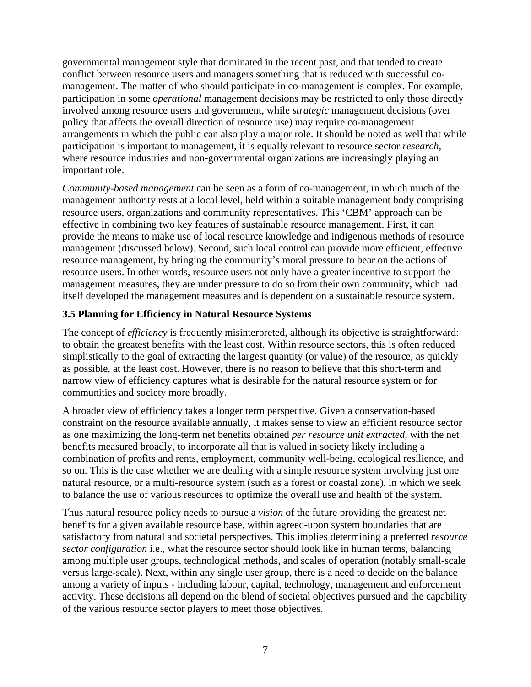governmental management style that dominated in the recent past, and that tended to create conflict between resource users and managers something that is reduced with successful comanagement. The matter of who should participate in co-management is complex. For example, participation in some *operational* management decisions may be restricted to only those directly involved among resource users and government, while *strategic* management decisions (over policy that affects the overall direction of resource use) may require co-management arrangements in which the public can also play a major role. It should be noted as well that while participation is important to management, it is equally relevant to resource sector *research*, where resource industries and non-governmental organizations are increasingly playing an important role.

*Community-based management* can be seen as a form of co-management, in which much of the management authority rests at a local level, held within a suitable management body comprising resource users, organizations and community representatives. This 'CBM' approach can be effective in combining two key features of sustainable resource management. First, it can provide the means to make use of local resource knowledge and indigenous methods of resource management (discussed below). Second, such local control can provide more efficient, effective resource management, by bringing the community's moral pressure to bear on the actions of resource users. In other words, resource users not only have a greater incentive to support the management measures, they are under pressure to do so from their own community, which had itself developed the management measures and is dependent on a sustainable resource system.

# **3.5 Planning for Efficiency in Natural Resource Systems**

The concept of *efficiency* is frequently misinterpreted, although its objective is straightforward: to obtain the greatest benefits with the least cost. Within resource sectors, this is often reduced simplistically to the goal of extracting the largest quantity (or value) of the resource, as quickly as possible, at the least cost. However, there is no reason to believe that this short-term and narrow view of efficiency captures what is desirable for the natural resource system or for communities and society more broadly.

A broader view of efficiency takes a longer term perspective. Given a conservation-based constraint on the resource available annually, it makes sense to view an efficient resource sector as one maximizing the long-term net benefits obtained *per resource unit extracted*, with the net benefits measured broadly, to incorporate all that is valued in society likely including a combination of profits and rents, employment, community well-being, ecological resilience, and so on. This is the case whether we are dealing with a simple resource system involving just one natural resource, or a multi-resource system (such as a forest or coastal zone), in which we seek to balance the use of various resources to optimize the overall use and health of the system.

Thus natural resource policy needs to pursue a *vision* of the future providing the greatest net benefits for a given available resource base, within agreed-upon system boundaries that are satisfactory from natural and societal perspectives. This implies determining a preferred *resource sector configuration* i.e., what the resource sector should look like in human terms, balancing among multiple user groups, technological methods, and scales of operation (notably small-scale versus large-scale). Next, within any single user group, there is a need to decide on the balance among a variety of inputs - including labour, capital, technology, management and enforcement activity. These decisions all depend on the blend of societal objectives pursued and the capability of the various resource sector players to meet those objectives.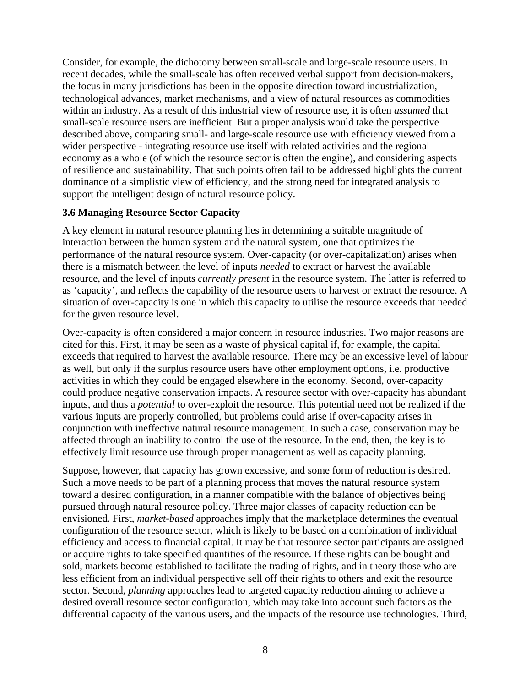Consider, for example, the dichotomy between small-scale and large-scale resource users. In recent decades, while the small-scale has often received verbal support from decision-makers, the focus in many jurisdictions has been in the opposite direction toward industrialization, technological advances, market mechanisms, and a view of natural resources as commodities within an industry. As a result of this industrial view of resource use, it is often *assumed* that small-scale resource users are inefficient. But a proper analysis would take the perspective described above, comparing small- and large-scale resource use with efficiency viewed from a wider perspective - integrating resource use itself with related activities and the regional economy as a whole (of which the resource sector is often the engine), and considering aspects of resilience and sustainability. That such points often fail to be addressed highlights the current dominance of a simplistic view of efficiency, and the strong need for integrated analysis to support the intelligent design of natural resource policy.

## **3.6 Managing Resource Sector Capacity**

A key element in natural resource planning lies in determining a suitable magnitude of interaction between the human system and the natural system, one that optimizes the performance of the natural resource system. Over-capacity (or over-capitalization) arises when there is a mismatch between the level of inputs *needed* to extract or harvest the available resource, and the level of inputs *currently present* in the resource system. The latter is referred to as 'capacity', and reflects the capability of the resource users to harvest or extract the resource. A situation of over-capacity is one in which this capacity to utilise the resource exceeds that needed for the given resource level.

Over-capacity is often considered a major concern in resource industries. Two major reasons are cited for this. First, it may be seen as a waste of physical capital if, for example, the capital exceeds that required to harvest the available resource. There may be an excessive level of labour as well, but only if the surplus resource users have other employment options, i.e. productive activities in which they could be engaged elsewhere in the economy. Second, over-capacity could produce negative conservation impacts. A resource sector with over-capacity has abundant inputs, and thus a *potential* to over-exploit the resource. This potential need not be realized if the various inputs are properly controlled, but problems could arise if over-capacity arises in conjunction with ineffective natural resource management. In such a case, conservation may be affected through an inability to control the use of the resource. In the end, then, the key is to effectively limit resource use through proper management as well as capacity planning.

Suppose, however, that capacity has grown excessive, and some form of reduction is desired. Such a move needs to be part of a planning process that moves the natural resource system toward a desired configuration, in a manner compatible with the balance of objectives being pursued through natural resource policy. Three major classes of capacity reduction can be envisioned. First, *market-based* approaches imply that the marketplace determines the eventual configuration of the resource sector, which is likely to be based on a combination of individual efficiency and access to financial capital. It may be that resource sector participants are assigned or acquire rights to take specified quantities of the resource. If these rights can be bought and sold, markets become established to facilitate the trading of rights, and in theory those who are less efficient from an individual perspective sell off their rights to others and exit the resource sector. Second, *planning* approaches lead to targeted capacity reduction aiming to achieve a desired overall resource sector configuration, which may take into account such factors as the differential capacity of the various users, and the impacts of the resource use technologies. Third,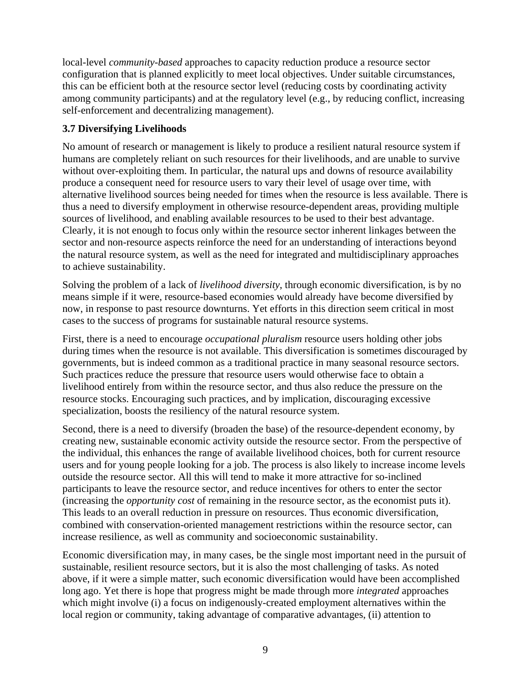local-level *community-based* approaches to capacity reduction produce a resource sector configuration that is planned explicitly to meet local objectives. Under suitable circumstances, this can be efficient both at the resource sector level (reducing costs by coordinating activity among community participants) and at the regulatory level (e.g., by reducing conflict, increasing self-enforcement and decentralizing management).

# **3.7 Diversifying Livelihoods**

No amount of research or management is likely to produce a resilient natural resource system if humans are completely reliant on such resources for their livelihoods, and are unable to survive without over-exploiting them. In particular, the natural ups and downs of resource availability produce a consequent need for resource users to vary their level of usage over time, with alternative livelihood sources being needed for times when the resource is less available. There is thus a need to diversify employment in otherwise resource-dependent areas, providing multiple sources of livelihood, and enabling available resources to be used to their best advantage. Clearly, it is not enough to focus only within the resource sector inherent linkages between the sector and non-resource aspects reinforce the need for an understanding of interactions beyond the natural resource system, as well as the need for integrated and multidisciplinary approaches to achieve sustainability.

Solving the problem of a lack of *livelihood diversity*, through economic diversification, is by no means simple if it were, resource-based economies would already have become diversified by now, in response to past resource downturns. Yet efforts in this direction seem critical in most cases to the success of programs for sustainable natural resource systems.

First, there is a need to encourage *occupational pluralism* resource users holding other jobs during times when the resource is not available. This diversification is sometimes discouraged by governments, but is indeed common as a traditional practice in many seasonal resource sectors. Such practices reduce the pressure that resource users would otherwise face to obtain a livelihood entirely from within the resource sector, and thus also reduce the pressure on the resource stocks. Encouraging such practices, and by implication, discouraging excessive specialization, boosts the resiliency of the natural resource system.

Second, there is a need to diversify (broaden the base) of the resource-dependent economy, by creating new, sustainable economic activity outside the resource sector. From the perspective of the individual, this enhances the range of available livelihood choices, both for current resource users and for young people looking for a job. The process is also likely to increase income levels outside the resource sector. All this will tend to make it more attractive for so-inclined participants to leave the resource sector, and reduce incentives for others to enter the sector (increasing the *opportunity cost* of remaining in the resource sector, as the economist puts it). This leads to an overall reduction in pressure on resources. Thus economic diversification, combined with conservation-oriented management restrictions within the resource sector, can increase resilience, as well as community and socioeconomic sustainability.

Economic diversification may, in many cases, be the single most important need in the pursuit of sustainable, resilient resource sectors, but it is also the most challenging of tasks. As noted above, if it were a simple matter, such economic diversification would have been accomplished long ago. Yet there is hope that progress might be made through more *integrated* approaches which might involve (i) a focus on indigenously-created employment alternatives within the local region or community, taking advantage of comparative advantages, (ii) attention to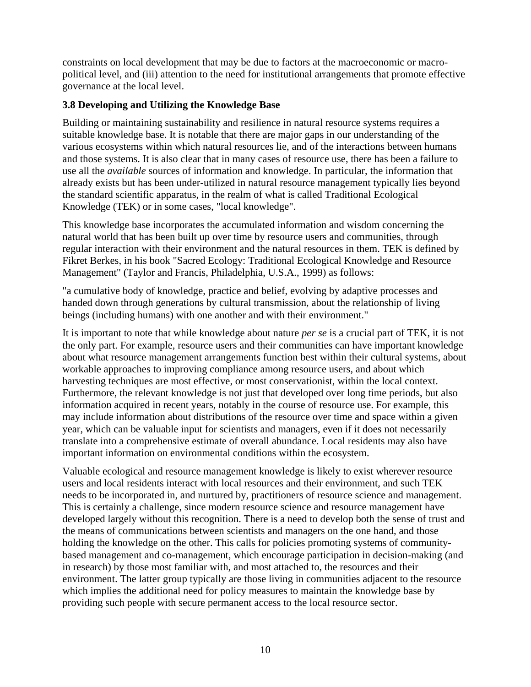constraints on local development that may be due to factors at the macroeconomic or macropolitical level, and (iii) attention to the need for institutional arrangements that promote effective governance at the local level.

# **3.8 Developing and Utilizing the Knowledge Base**

Building or maintaining sustainability and resilience in natural resource systems requires a suitable knowledge base. It is notable that there are major gaps in our understanding of the various ecosystems within which natural resources lie, and of the interactions between humans and those systems. It is also clear that in many cases of resource use, there has been a failure to use all the *available* sources of information and knowledge. In particular, the information that already exists but has been under-utilized in natural resource management typically lies beyond the standard scientific apparatus, in the realm of what is called Traditional Ecological Knowledge (TEK) or in some cases, "local knowledge".

This knowledge base incorporates the accumulated information and wisdom concerning the natural world that has been built up over time by resource users and communities, through regular interaction with their environment and the natural resources in them. TEK is defined by Fikret Berkes, in his book "Sacred Ecology: Traditional Ecological Knowledge and Resource Management" (Taylor and Francis, Philadelphia, U.S.A., 1999) as follows:

"a cumulative body of knowledge, practice and belief, evolving by adaptive processes and handed down through generations by cultural transmission, about the relationship of living beings (including humans) with one another and with their environment."

It is important to note that while knowledge about nature *per se* is a crucial part of TEK, it is not the only part. For example, resource users and their communities can have important knowledge about what resource management arrangements function best within their cultural systems, about workable approaches to improving compliance among resource users, and about which harvesting techniques are most effective, or most conservationist, within the local context. Furthermore, the relevant knowledge is not just that developed over long time periods, but also information acquired in recent years, notably in the course of resource use. For example, this may include information about distributions of the resource over time and space within a given year, which can be valuable input for scientists and managers, even if it does not necessarily translate into a comprehensive estimate of overall abundance. Local residents may also have important information on environmental conditions within the ecosystem.

Valuable ecological and resource management knowledge is likely to exist wherever resource users and local residents interact with local resources and their environment, and such TEK needs to be incorporated in, and nurtured by, practitioners of resource science and management. This is certainly a challenge, since modern resource science and resource management have developed largely without this recognition. There is a need to develop both the sense of trust and the means of communications between scientists and managers on the one hand, and those holding the knowledge on the other. This calls for policies promoting systems of communitybased management and co-management, which encourage participation in decision-making (and in research) by those most familiar with, and most attached to, the resources and their environment. The latter group typically are those living in communities adjacent to the resource which implies the additional need for policy measures to maintain the knowledge base by providing such people with secure permanent access to the local resource sector.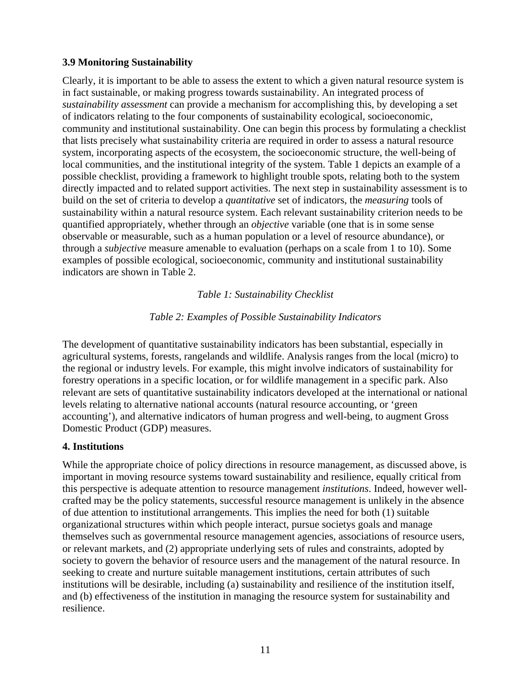## <span id="page-10-0"></span>**3.9 Monitoring Sustainability**

Clearly, it is important to be able to assess the extent to which a given natural resource system is in fact sustainable, or making progress towards sustainability. An integrated process of *sustainability assessment* can provide a mechanism for accomplishing this, by developing a set of indicators relating to the four components of sustainability ecological, socioeconomic, community and institutional sustainability. One can begin this process by formulating a checklist that lists precisely what sustainability criteria are required in order to assess a natural resource system, incorporating aspects of the ecosystem, the socioeconomic structure, the well-being of local communities, and the institutional integrity of the system. Table 1 depicts an example of a possible checklist, providing a framework to highlight trouble spots, relating both to the system directly impacted and to related support activities. The next step in sustainability assessment is to build on the set of criteria to develop a *quantitative* set of indicators, the *measuring* tools of sustainability within a natural resource system. Each relevant sustainability criterion needs to be quantified appropriately, whether through an *objective* variable (one that is in some sense observable or measurable, such as a human population or a level of resource abundance), or through a *subjective* measure amenable to evaluation (perhaps on a scale from 1 to 10). Some examples of possible ecological, socioeconomic, community and institutional sustainability indicators are shown in Table 2.

#### *Table 1: Sustainability Checklist*

## *Table 2: Examples of Possible Sustainability Indicators*

The development of quantitative sustainability indicators has been substantial, especially in agricultural systems, forests, rangelands and wildlife. Analysis ranges from the local (micro) to the regional or industry levels. For example, this might involve indicators of sustainability for forestry operations in a specific location, or for wildlife management in a specific park. Also relevant are sets of quantitative sustainability indicators developed at the international or national levels relating to alternative national accounts (natural resource accounting, or 'green accounting'), and alternative indicators of human progress and well-being, to augment Gross Domestic Product (GDP) measures.

#### **4. Institutions**

While the appropriate choice of policy directions in resource management, as discussed above, is important in moving resource systems toward sustainability and resilience, equally critical from this perspective is adequate attention to resource management *institutions*. Indeed, however wellcrafted may be the policy statements, successful resource management is unlikely in the absence of due attention to institutional arrangements. This implies the need for both (1) suitable organizational structures within which people interact, pursue societys goals and manage themselves such as governmental resource management agencies, associations of resource users, or relevant markets, and (2) appropriate underlying sets of rules and constraints, adopted by society to govern the behavior of resource users and the management of the natural resource. In seeking to create and nurture suitable management institutions, certain attributes of such institutions will be desirable, including (a) sustainability and resilience of the institution itself, and (b) effectiveness of the institution in managing the resource system for sustainability and resilience.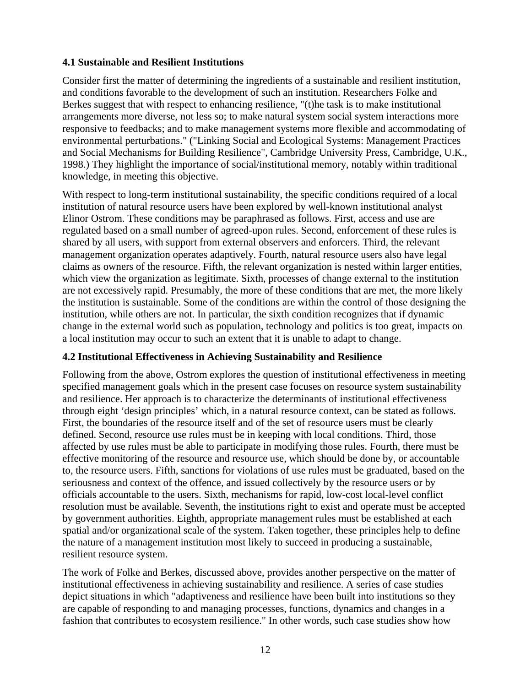## **4.1 Sustainable and Resilient Institutions**

Consider first the matter of determining the ingredients of a sustainable and resilient institution, and conditions favorable to the development of such an institution. Researchers Folke and Berkes suggest that with respect to enhancing resilience, "(t)he task is to make institutional arrangements more diverse, not less so; to make natural system social system interactions more responsive to feedbacks; and to make management systems more flexible and accommodating of environmental perturbations." ("Linking Social and Ecological Systems: Management Practices and Social Mechanisms for Building Resilience", Cambridge University Press, Cambridge, U.K., 1998.) They highlight the importance of social/institutional memory, notably within traditional knowledge, in meeting this objective.

With respect to long-term institutional sustainability, the specific conditions required of a local institution of natural resource users have been explored by well-known institutional analyst Elinor Ostrom. These conditions may be paraphrased as follows. First, access and use are regulated based on a small number of agreed-upon rules. Second, enforcement of these rules is shared by all users, with support from external observers and enforcers. Third, the relevant management organization operates adaptively. Fourth, natural resource users also have legal claims as owners of the resource. Fifth, the relevant organization is nested within larger entities, which view the organization as legitimate. Sixth, processes of change external to the institution are not excessively rapid. Presumably, the more of these conditions that are met, the more likely the institution is sustainable. Some of the conditions are within the control of those designing the institution, while others are not. In particular, the sixth condition recognizes that if dynamic change in the external world such as population, technology and politics is too great, impacts on a local institution may occur to such an extent that it is unable to adapt to change.

## **4.2 Institutional Effectiveness in Achieving Sustainability and Resilience**

Following from the above, Ostrom explores the question of institutional effectiveness in meeting specified management goals which in the present case focuses on resource system sustainability and resilience. Her approach is to characterize the determinants of institutional effectiveness through eight 'design principles' which, in a natural resource context, can be stated as follows. First, the boundaries of the resource itself and of the set of resource users must be clearly defined. Second, resource use rules must be in keeping with local conditions. Third, those affected by use rules must be able to participate in modifying those rules. Fourth, there must be effective monitoring of the resource and resource use, which should be done by, or accountable to, the resource users. Fifth, sanctions for violations of use rules must be graduated, based on the seriousness and context of the offence, and issued collectively by the resource users or by officials accountable to the users. Sixth, mechanisms for rapid, low-cost local-level conflict resolution must be available. Seventh, the institutions right to exist and operate must be accepted by government authorities. Eighth, appropriate management rules must be established at each spatial and/or organizational scale of the system. Taken together, these principles help to define the nature of a management institution most likely to succeed in producing a sustainable, resilient resource system.

The work of Folke and Berkes, discussed above, provides another perspective on the matter of institutional effectiveness in achieving sustainability and resilience. A series of case studies depict situations in which "adaptiveness and resilience have been built into institutions so they are capable of responding to and managing processes, functions, dynamics and changes in a fashion that contributes to ecosystem resilience." In other words, such case studies show how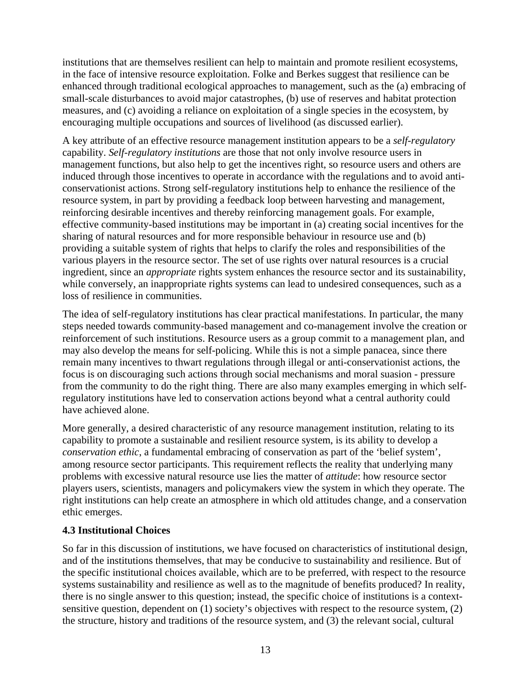institutions that are themselves resilient can help to maintain and promote resilient ecosystems, in the face of intensive resource exploitation. Folke and Berkes suggest that resilience can be enhanced through traditional ecological approaches to management, such as the (a) embracing of small-scale disturbances to avoid major catastrophes, (b) use of reserves and habitat protection measures, and (c) avoiding a reliance on exploitation of a single species in the ecosystem, by encouraging multiple occupations and sources of livelihood (as discussed earlier).

A key attribute of an effective resource management institution appears to be a *self-regulatory* capability. *Self-regulatory institutions* are those that not only involve resource users in management functions, but also help to get the incentives right, so resource users and others are induced through those incentives to operate in accordance with the regulations and to avoid anticonservationist actions. Strong self-regulatory institutions help to enhance the resilience of the resource system, in part by providing a feedback loop between harvesting and management, reinforcing desirable incentives and thereby reinforcing management goals. For example, effective community-based institutions may be important in (a) creating social incentives for the sharing of natural resources and for more responsible behaviour in resource use and (b) providing a suitable system of rights that helps to clarify the roles and responsibilities of the various players in the resource sector. The set of use rights over natural resources is a crucial ingredient, since an *appropriate* rights system enhances the resource sector and its sustainability, while conversely, an inappropriate rights systems can lead to undesired consequences, such as a loss of resilience in communities.

The idea of self-regulatory institutions has clear practical manifestations. In particular, the many steps needed towards community-based management and co-management involve the creation or reinforcement of such institutions. Resource users as a group commit to a management plan, and may also develop the means for self-policing. While this is not a simple panacea, since there remain many incentives to thwart regulations through illegal or anti-conservationist actions, the focus is on discouraging such actions through social mechanisms and moral suasion - pressure from the community to do the right thing. There are also many examples emerging in which selfregulatory institutions have led to conservation actions beyond what a central authority could have achieved alone.

More generally, a desired characteristic of any resource management institution, relating to its capability to promote a sustainable and resilient resource system, is its ability to develop a *conservation ethic*, a fundamental embracing of conservation as part of the 'belief system', among resource sector participants. This requirement reflects the reality that underlying many problems with excessive natural resource use lies the matter of *attitude*: how resource sector players users, scientists, managers and policymakers view the system in which they operate. The right institutions can help create an atmosphere in which old attitudes change, and a conservation ethic emerges.

## **4.3 Institutional Choices**

So far in this discussion of institutions, we have focused on characteristics of institutional design, and of the institutions themselves, that may be conducive to sustainability and resilience. But of the specific institutional choices available, which are to be preferred, with respect to the resource systems sustainability and resilience as well as to the magnitude of benefits produced? In reality, there is no single answer to this question; instead, the specific choice of institutions is a contextsensitive question, dependent on (1) society's objectives with respect to the resource system, (2) the structure, history and traditions of the resource system, and (3) the relevant social, cultural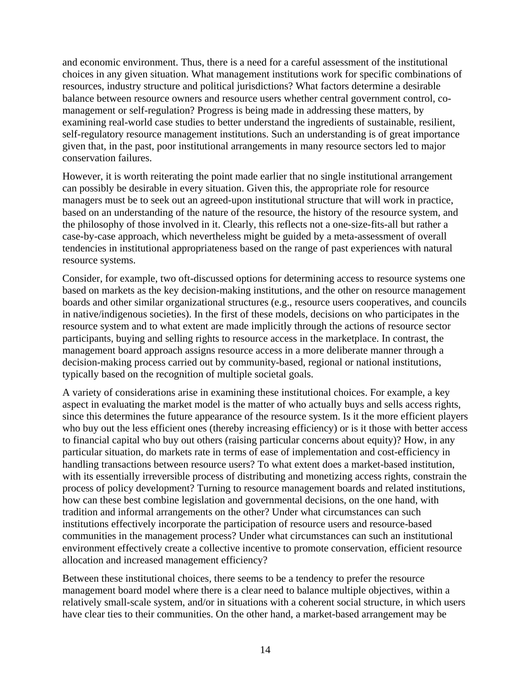and economic environment. Thus, there is a need for a careful assessment of the institutional choices in any given situation. What management institutions work for specific combinations of resources, industry structure and political jurisdictions? What factors determine a desirable balance between resource owners and resource users whether central government control, comanagement or self-regulation? Progress is being made in addressing these matters, by examining real-world case studies to better understand the ingredients of sustainable, resilient, self-regulatory resource management institutions. Such an understanding is of great importance given that, in the past, poor institutional arrangements in many resource sectors led to major conservation failures.

However, it is worth reiterating the point made earlier that no single institutional arrangement can possibly be desirable in every situation. Given this, the appropriate role for resource managers must be to seek out an agreed-upon institutional structure that will work in practice, based on an understanding of the nature of the resource, the history of the resource system, and the philosophy of those involved in it. Clearly, this reflects not a one-size-fits-all but rather a case-by-case approach, which nevertheless might be guided by a meta-assessment of overall tendencies in institutional appropriateness based on the range of past experiences with natural resource systems.

Consider, for example, two oft-discussed options for determining access to resource systems one based on markets as the key decision-making institutions, and the other on resource management boards and other similar organizational structures (e.g., resource users cooperatives, and councils in native/indigenous societies). In the first of these models, decisions on who participates in the resource system and to what extent are made implicitly through the actions of resource sector participants, buying and selling rights to resource access in the marketplace. In contrast, the management board approach assigns resource access in a more deliberate manner through a decision-making process carried out by community-based, regional or national institutions, typically based on the recognition of multiple societal goals.

A variety of considerations arise in examining these institutional choices. For example, a key aspect in evaluating the market model is the matter of who actually buys and sells access rights, since this determines the future appearance of the resource system. Is it the more efficient players who buy out the less efficient ones (thereby increasing efficiency) or is it those with better access to financial capital who buy out others (raising particular concerns about equity)? How, in any particular situation, do markets rate in terms of ease of implementation and cost-efficiency in handling transactions between resource users? To what extent does a market-based institution, with its essentially irreversible process of distributing and monetizing access rights, constrain the process of policy development? Turning to resource management boards and related institutions, how can these best combine legislation and governmental decisions, on the one hand, with tradition and informal arrangements on the other? Under what circumstances can such institutions effectively incorporate the participation of resource users and resource-based communities in the management process? Under what circumstances can such an institutional environment effectively create a collective incentive to promote conservation, efficient resource allocation and increased management efficiency?

Between these institutional choices, there seems to be a tendency to prefer the resource management board model where there is a clear need to balance multiple objectives, within a relatively small-scale system, and/or in situations with a coherent social structure, in which users have clear ties to their communities. On the other hand, a market-based arrangement may be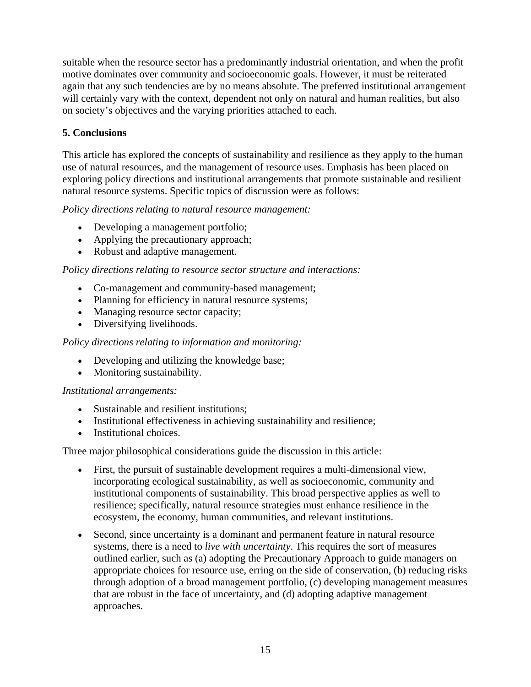<span id="page-14-0"></span>suitable when the resource sector has a predominantly industrial orientation, and when the profit motive dominates over community and socioeconomic goals. However, it must be reiterated again that any such tendencies are by no means absolute. The preferred institutional arrangement will certainly vary with the context, dependent not only on natural and human realities, but also on society's objectives and the varying priorities attached to each.

# **5. Conclusions**

This article has explored the concepts of sustainability and resilience as they apply to the human use of natural resources, and the management of resource uses. Emphasis has been placed on exploring policy directions and institutional arrangements that promote sustainable and resilient natural resource systems. Specific topics of discussion were as follows:

*Policy directions relating to natural resource management:* 

- Developing a management portfolio;
- Applying the precautionary approach;
- Robust and adaptive management.

*Policy directions relating to resource sector structure and interactions:* 

- Co-management and community-based management;
- Planning for efficiency in natural resource systems;
- Managing resource sector capacity;
- Diversifying livelihoods.

## *Policy directions relating to information and monitoring:*

- Developing and utilizing the knowledge base;
- Monitoring sustainability.

## *Institutional arrangements:*

- Sustainable and resilient institutions;
- Institutional effectiveness in achieving sustainability and resilience;
- Institutional choices.

Three major philosophical considerations guide the discussion in this article:

- First, the pursuit of sustainable development requires a multi-dimensional view, incorporating ecological sustainability, as well as socioeconomic, community and institutional components of sustainability. This broad perspective applies as well to resilience; specifically, natural resource strategies must enhance resilience in the ecosystem, the economy, human communities, and relevant institutions.
- Second, since uncertainty is a dominant and permanent feature in natural resource systems, there is a need to *live with uncertainty*. This requires the sort of measures outlined earlier, such as (a) adopting the Precautionary Approach to guide managers on appropriate choices for resource use, erring on the side of conservation, (b) reducing risks through adoption of a broad management portfolio, (c) developing management measures that are robust in the face of uncertainty, and (d) adopting adaptive management approaches.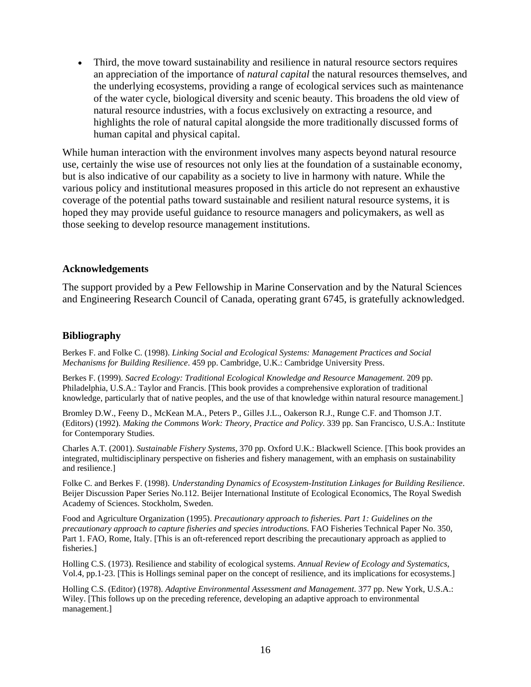<span id="page-15-0"></span>• Third, the move toward sustainability and resilience in natural resource sectors requires an appreciation of the importance of *natural capital* the natural resources themselves, and the underlying ecosystems, providing a range of ecological services such as maintenance of the water cycle, biological diversity and scenic beauty. This broadens the old view of natural resource industries, with a focus exclusively on extracting a resource, and highlights the role of natural capital alongside the more traditionally discussed forms of human capital and physical capital.

While human interaction with the environment involves many aspects beyond natural resource use, certainly the wise use of resources not only lies at the foundation of a sustainable economy, but is also indicative of our capability as a society to live in harmony with nature. While the various policy and institutional measures proposed in this article do not represent an exhaustive coverage of the potential paths toward sustainable and resilient natural resource systems, it is hoped they may provide useful guidance to resource managers and policymakers, as well as those seeking to develop resource management institutions.

#### **Acknowledgements**

The support provided by a Pew Fellowship in Marine Conservation and by the Natural Sciences and Engineering Research Council of Canada, operating grant 6745, is gratefully acknowledged.

#### **Bibliography**

Berkes F. and Folke C. (1998). *Linking Social and Ecological Systems: Management Practices and Social Mechanisms for Building Resilience*. 459 pp. Cambridge, U.K.: Cambridge University Press.

Berkes F. (1999). *Sacred Ecology: Traditional Ecological Knowledge and Resource Management*. 209 pp. Philadelphia, U.S.A.: Taylor and Francis. [This book provides a comprehensive exploration of traditional knowledge, particularly that of native peoples, and the use of that knowledge within natural resource management.]

Bromley D.W., Feeny D., McKean M.A., Peters P., Gilles J.L., Oakerson R.J., Runge C.F. and Thomson J.T. (Editors) (1992). *Making the Commons Work: Theory, Practice and Policy*. 339 pp. San Francisco, U.S.A.: Institute for Contemporary Studies.

Charles A.T. (2001). *Sustainable Fishery Systems*, 370 pp. Oxford U.K.: Blackwell Science. [This book provides an integrated, multidisciplinary perspective on fisheries and fishery management, with an emphasis on sustainability and resilience.]

Folke C. and Berkes F. (1998). *Understanding Dynamics of Ecosystem-Institution Linkages for Building Resilience*. Beijer Discussion Paper Series No.112. Beijer International Institute of Ecological Economics, The Royal Swedish Academy of Sciences. Stockholm, Sweden.

Food and Agriculture Organization (1995). *Precautionary approach to fisheries. Part 1: Guidelines on the precautionary approach to capture fisheries and species introductions*. FAO Fisheries Technical Paper No. 350, Part 1. FAO, Rome, Italy. [This is an oft-referenced report describing the precautionary approach as applied to fisheries.]

Holling C.S. (1973). Resilience and stability of ecological systems. *Annual Review of Ecology and Systematics*, Vol.4, pp.1-23. [This is Hollings seminal paper on the concept of resilience, and its implications for ecosystems.]

Holling C.S. (Editor) (1978). *Adaptive Environmental Assessment and Management*. 377 pp. New York, U.S.A.: Wiley. [This follows up on the preceding reference, developing an adaptive approach to environmental management.]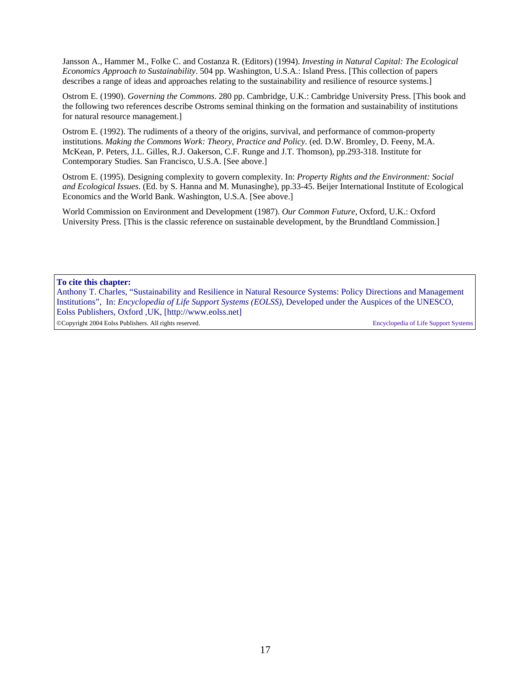Jansson A., Hammer M., Folke C. and Costanza R. (Editors) (1994). *Investing in Natural Capital: The Ecological Economics Approach to Sustainability*. 504 pp. Washington, U.S.A.: Island Press. [This collection of papers describes a range of ideas and approaches relating to the sustainability and resilience of resource systems.]

Ostrom E. (1990). *Governing the Commons*. 280 pp. Cambridge, U.K.: Cambridge University Press. [This book and the following two references describe Ostroms seminal thinking on the formation and sustainability of institutions for natural resource management.]

Ostrom E. (1992). The rudiments of a theory of the origins, survival, and performance of common-property institutions. *Making the Commons Work: Theory, Practice and Policy*. (ed. D.W. Bromley, D. Feeny, M.A. McKean, P. Peters, J.L. Gilles, R.J. Oakerson, C.F. Runge and J.T. Thomson), pp.293-318. Institute for Contemporary Studies. San Francisco, U.S.A. [See above.]

Ostrom E. (1995). Designing complexity to govern complexity. In: *Property Rights and the Environment: Social and Ecological Issues*. (Ed. by S. Hanna and M. Munasinghe), pp.33-45. Beijer International Institute of Ecological Economics and the World Bank. Washington, U.S.A. [See above.]

World Commission on Environment and Development (1987). *Our Common Future*, Oxford, U.K.: Oxford University Press. [This is the classic reference on sustainable development, by the Brundtland Commission.]

**To cite this chapter:**

Anthony T. Charles, "Sustainability and Resilience in Natural Resource Systems: Policy Directions and Management Institutions", In: *Encyclopedia of Life Support Systems (EOLSS),* Developed under the Auspices of the UNESCO, Eolss Publishers, Oxford ,UK, [http://www.eolss.net] ©Copyright 2004 Eolss Publishers. All rights reserved. Encyclopedia of Life Support Systems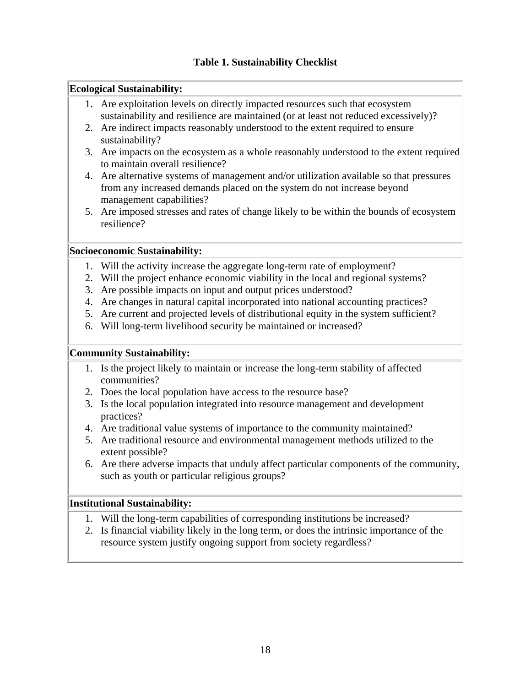#### **Ecological Sustainability:**

- 1. Are exploitation levels on directly impacted resources such that ecosystem sustainability and resilience are maintained (or at least not reduced excessively)?
- 2. Are indirect impacts reasonably understood to the extent required to ensure sustainability?
- 3. Are impacts on the ecosystem as a whole reasonably understood to the extent required to maintain overall resilience?
- 4. Are alternative systems of management and/or utilization available so that pressures from any increased demands placed on the system do not increase beyond management capabilities?
- 5. Are imposed stresses and rates of change likely to be within the bounds of ecosystem resilience?

### **Socioeconomic Sustainability:**

- 1. Will the activity increase the aggregate long-term rate of employment?
- 2. Will the project enhance economic viability in the local and regional systems?
- 3. Are possible impacts on input and output prices understood?
- 4. Are changes in natural capital incorporated into national accounting practices?
- 5. Are current and projected levels of distributional equity in the system sufficient?
- 6. Will long-term livelihood security be maintained or increased?

## **Community Sustainability:**

- 1. Is the project likely to maintain or increase the long-term stability of affected communities?
- 2. Does the local population have access to the resource base?
- 3. Is the local population integrated into resource management and development practices?
- 4. Are traditional value systems of importance to the community maintained?
- 5. Are traditional resource and environmental management methods utilized to the extent possible?
- 6. Are there adverse impacts that unduly affect particular components of the community, such as youth or particular religious groups?

## **Institutional Sustainability:**

- 1. Will the long-term capabilities of corresponding institutions be increased?
- 2. Is financial viability likely in the long term, or does the intrinsic importance of the resource system justify ongoing support from society regardless?